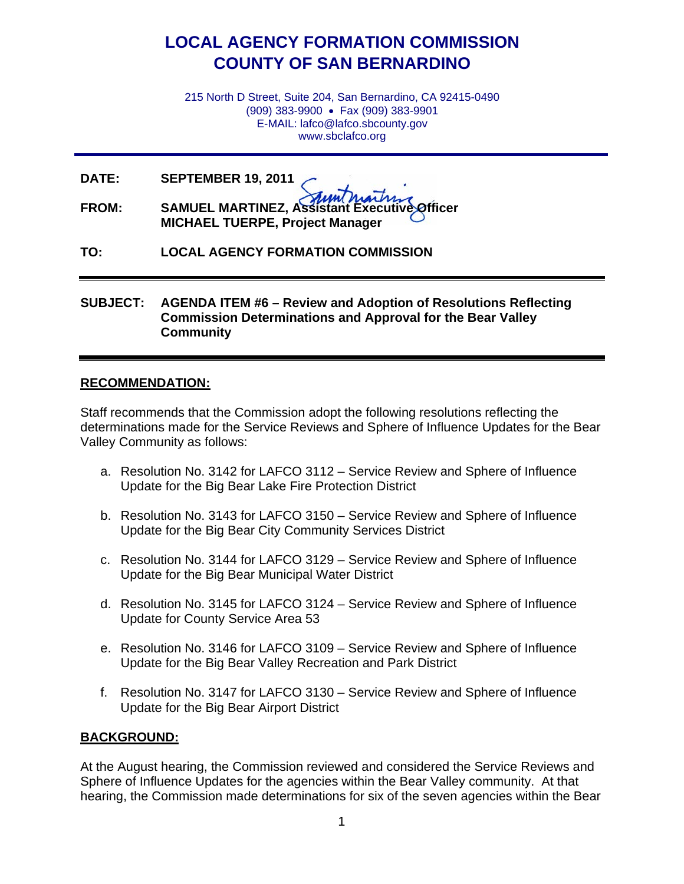# **LOCAL AGENCY FORMATION COMMISSION COUNTY OF SAN BERNARDINO**

215 North D Street, Suite 204, San Bernardino, CA 92415-0490 (909) 383-9900 • Fax (909) 383-9901 E-MAIL: lafco@lafco.sbcounty.gov www.sbclafco.org

**DATE: SEPTEMBER 19, 2011**

**FROM: SAMUEL MARTINEZ, Assistant Executive Officer MICHAEL TUERPE, Project Manager**

**TO: LOCAL AGENCY FORMATION COMMISSION**

### **SUBJECT: AGENDA ITEM #6 – Review and Adoption of Resolutions Reflecting Commission Determinations and Approval for the Bear Valley Community**

### **RECOMMENDATION:**

Staff recommends that the Commission adopt the following resolutions reflecting the determinations made for the Service Reviews and Sphere of Influence Updates for the Bear Valley Community as follows:

- a. Resolution No. 3142 for LAFCO 3112 Service Review and Sphere of Influence Update for the Big Bear Lake Fire Protection District
- b. Resolution No. 3143 for LAFCO 3150 Service Review and Sphere of Influence Update for the Big Bear City Community Services District
- c. Resolution No. 3144 for LAFCO 3129 Service Review and Sphere of Influence Update for the Big Bear Municipal Water District
- d. Resolution No. 3145 for LAFCO 3124 Service Review and Sphere of Influence Update for County Service Area 53
- e. Resolution No. 3146 for LAFCO 3109 Service Review and Sphere of Influence Update for the Big Bear Valley Recreation and Park District
- f. Resolution No. 3147 for LAFCO 3130 Service Review and Sphere of Influence Update for the Big Bear Airport District

#### **BACKGROUND:**

At the August hearing, the Commission reviewed and considered the Service Reviews and Sphere of Influence Updates for the agencies within the Bear Valley community. At that hearing, the Commission made determinations for six of the seven agencies within the Bear